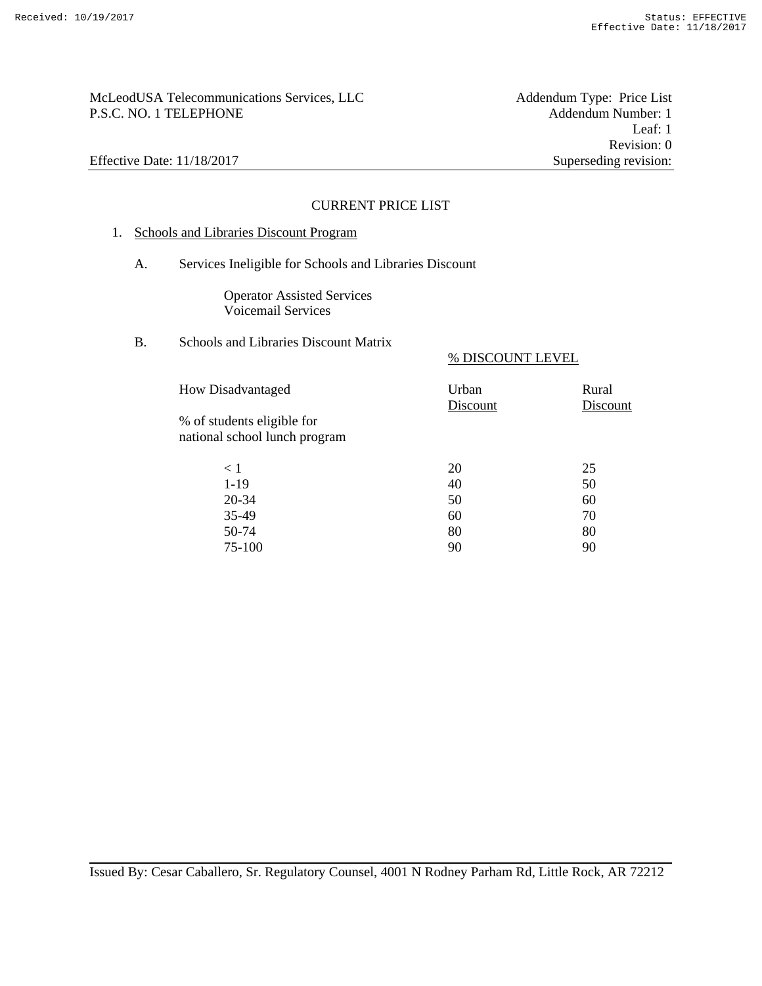# McLeodUSA Telecommunications Services, LLC McLeodUSA Telecommunications Services, LLC Addendum Type: Price List P.S.C. NO. 1 TELEPHONE Addendum Number: 1

Leaf: 1 Revision: 0 Effective Date: 11/18/2017 Superseding revision:

### CURRENT PRICE LIST

# 1. Schools and Libraries Discount Program

A. Services Ineligible for Schools and Libraries Discount

Operator Assisted Services Voicemail Services

# B. Schools and Libraries Discount Matrix

### % DISCOUNT LEVEL

| <b>How Disadvantaged</b>                                    | Urban<br>Discount | Rural<br>Discount |
|-------------------------------------------------------------|-------------------|-------------------|
| % of students eligible for<br>national school lunch program |                   |                   |
| < 1                                                         | 20                | 25                |
| $1-19$                                                      | 40                | 50                |
| 20-34                                                       | 50                | 60                |
| 35-49                                                       | 60                | 70                |
| 50-74                                                       | 80                | 80                |

75-100 90 90

Issued By: Cesar Caballero, Sr. Regulatory Counsel, 4001 N Rodney Parham Rd, Little Rock, AR 72212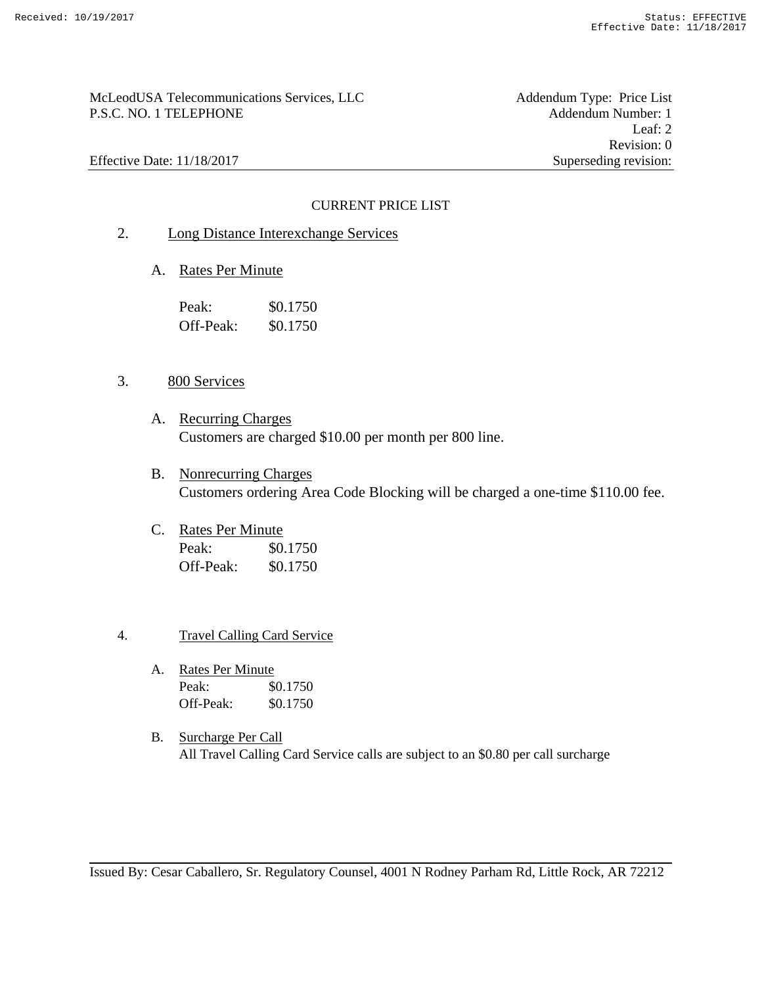# McLeodUSA Telecommunications Services, LLC<br>
P.S.C. NO. 1 TELEPHONE Addendum Number: 1 P.S.C. NO. 1 TELEPHONE

Leaf: 2 Revision: 0 Effective Date: 11/18/2017 Superseding revision:

## CURRENT PRICE LIST

- 2. Long Distance Interexchange Services
	- A. Rates Per Minute

| Peak:     | \$0.1750 |
|-----------|----------|
| Off-Peak: | \$0.1750 |

### 3. 800 Services

- A. Recurring Charges Customers are charged \$10.00 per month per 800 line.
- B. Nonrecurring Charges Customers ordering Area Code Blocking will be charged a one-time \$110.00 fee.
- C. Rates Per Minute Peak: \$0.1750 Off-Peak: \$0.1750

### 4. Travel Calling Card Service

- A. Rates Per Minute Peak:  $$0.1750$ Off-Peak: \$0.1750
- B. Surcharge Per Call All Travel Calling Card Service calls are subject to an \$0.80 per call surcharge